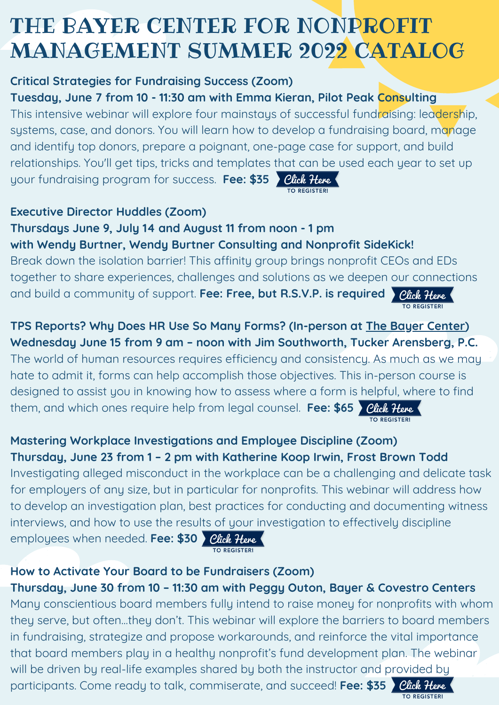# THE BAYER CENTER FOR NONPROFIT MANAGEMENT SUMMER 2022 CATALOG

#### **Critical Strategies for Fundraising Success (Zoom)**

This intensive webinar will explore four mainstays of successful fundraising: leadership, systems, case, and donors. You will learn how to develop a fundraising board, manage and identify top donors, prepare a poignant, one-page case for support, and build relationships. You'll get tips, tricks and templates that can be used each year to set up your fundraising program for success. **Fee: \$35 TO REGISTER!** 

#### **Tuesday, June 7 from 10 - 11:30 am with Emma Kieran, Pilot Peak Consulting**

**TPS Reports? Why Does HR Use So Many Forms? (In-person at The Bayer [Center](https://www.rmu.edu/sites/default/files/user_files/Benjamin%20Rush.pdf)) Wednesday June 15 from 9 am – noon with Jim Southworth, Tucker Arensberg, P.C.** The world of human resources requires efficiency and consistency. As much as we may hate to admit it, forms can help accomplish those objectives. This in-person course is designed to assist you in knowing how to assess where a form is helpful, where to find them, and which ones require help from legal counsel. **Fee: \$65 TO REGISTER!** 

#### **Executive Director Huddles (Zoom)**

#### **Thursdays June 9, July 14 and August 11 from noon - 1 pm**

#### **with Wendy Burtner, Wendy Burtner Consulting and Nonprofit SideKick!**

Break down the isolation barrier! This affinity group brings nonprofit CEOs and EDs together to share experiences, challenges and solutions as we deepen our connections and build a community of support. **Fee: Free, but R.S.V.P. is required**

**TO REGISTER!** 

**Thursday, June 30 from 10 – 11:30 am with Peggy Outon, Bayer & Covestro Centers** Many conscientious board members fully intend to raise money for nonprofits with whom they serve, but often…they don't. This webinar will explore the barriers to board members in fundraising, strategize and propose workarounds, and reinforce the vital importance that board members play in a healthy nonprofit's fund development plan. The webinar will be driven by real-life examples shared by both the instructor and [provided](https://secure.touchnet.net/C20426_ustores/web/product_detail.jsp?PRODUCTID=154&SINGLESTORE=true) by participants. Come ready to talk, commiserate, and succeed! **Fee: \$35TO REGISTER!** 

#### **Mastering Workplace Investigations and Employee Discipline (Zoom)**

#### **Thursday, June 23 from 1 – 2 pm with Katherine Koop Irwin, Frost Brown Todd**

Investigating alleged misconduct in the workplace can be a challenging and delicate task for employers of any size, but in particular for nonprofits. This webinar will address how to develop an investigation plan, best practices for conducting and documenting witness interviews, and how to use the results of [your](https://secure.touchnet.net/C20426_ustores/web/product_detail.jsp?PRODUCTID=153&SINGLESTORE=true) investigation to effectively discipline

employees when needed. **Fee: \$30**



#### **How to Activate Your Board to be Fundraisers (Zoom)**